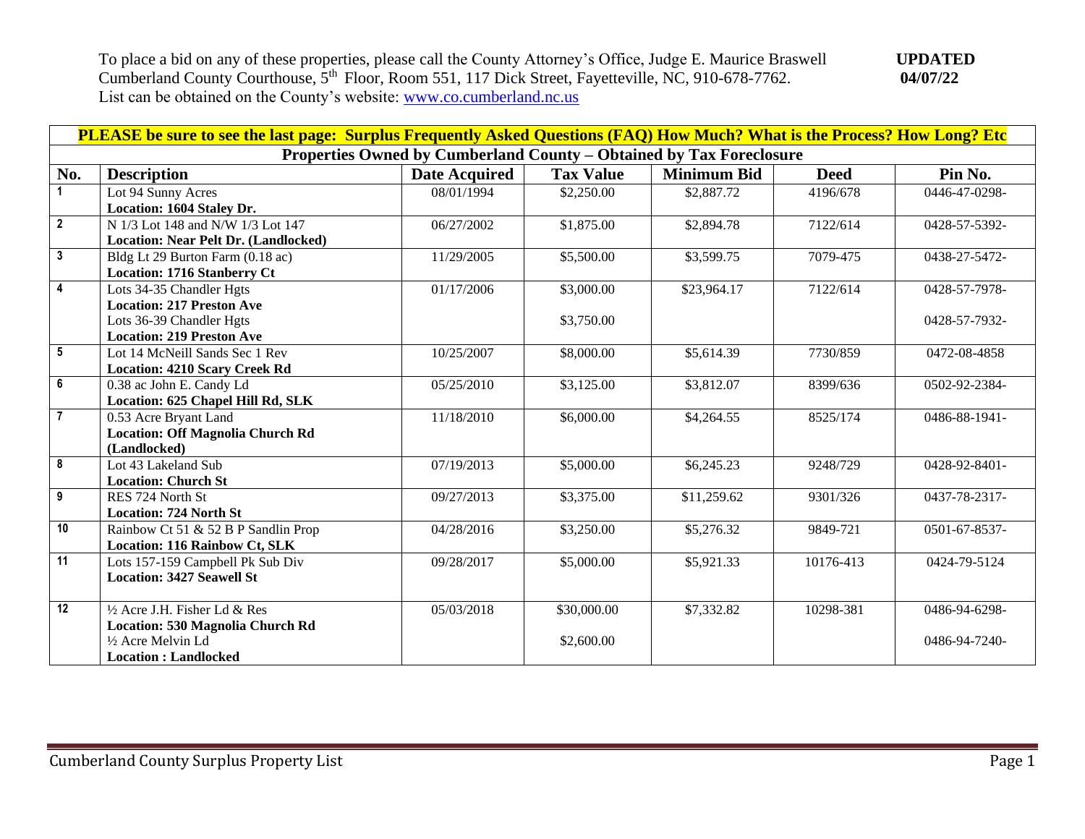| PLEASE be sure to see the last page: Surplus Frequently Asked Questions (FAQ) How Much? What is the Process? How Long? Etc |                                             |                      |                  |                    |             |               |  |  |
|----------------------------------------------------------------------------------------------------------------------------|---------------------------------------------|----------------------|------------------|--------------------|-------------|---------------|--|--|
| Properties Owned by Cumberland County - Obtained by Tax Foreclosure                                                        |                                             |                      |                  |                    |             |               |  |  |
| No.                                                                                                                        | <b>Description</b>                          | <b>Date Acquired</b> | <b>Tax Value</b> | <b>Minimum Bid</b> | <b>Deed</b> | Pin No.       |  |  |
| $\blacktriangleleft$                                                                                                       | Lot 94 Sunny Acres                          | 08/01/1994           | \$2,250.00       | \$2,887.72         | 4196/678    | 0446-47-0298- |  |  |
|                                                                                                                            | Location: 1604 Staley Dr.                   |                      |                  |                    |             |               |  |  |
| $\overline{2}$                                                                                                             | N 1/3 Lot 148 and N/W 1/3 Lot 147           | 06/27/2002           | \$1,875.00       | \$2,894.78         | 7122/614    | 0428-57-5392- |  |  |
|                                                                                                                            | <b>Location: Near Pelt Dr. (Landlocked)</b> |                      |                  |                    |             |               |  |  |
| $\mathbf{3}$                                                                                                               | Bldg Lt 29 Burton Farm (0.18 ac)            | 11/29/2005           | \$5,500.00       | \$3,599.75         | 7079-475    | 0438-27-5472- |  |  |
|                                                                                                                            | <b>Location: 1716 Stanberry Ct</b>          |                      |                  |                    |             |               |  |  |
| $\overline{\mathbf{4}}$                                                                                                    | Lots 34-35 Chandler Hgts                    | 01/17/2006           | \$3,000.00       | \$23,964.17        | 7122/614    | 0428-57-7978- |  |  |
|                                                                                                                            | <b>Location: 217 Preston Ave</b>            |                      |                  |                    |             |               |  |  |
|                                                                                                                            | Lots 36-39 Chandler Hgts                    |                      | \$3,750.00       |                    |             | 0428-57-7932- |  |  |
|                                                                                                                            | <b>Location: 219 Preston Ave</b>            |                      |                  |                    |             |               |  |  |
| $5\phantom{.0}$                                                                                                            | Lot 14 McNeill Sands Sec 1 Rev              | 10/25/2007           | \$8,000.00       | \$5,614.39         | 7730/859    | 0472-08-4858  |  |  |
|                                                                                                                            | <b>Location: 4210 Scary Creek Rd</b>        |                      |                  |                    |             |               |  |  |
| $\overline{\mathbf{6}}$                                                                                                    | 0.38 ac John E. Candy Ld                    | 05/25/2010           | \$3,125.00       | \$3,812.07         | 8399/636    | 0502-92-2384- |  |  |
|                                                                                                                            | Location: 625 Chapel Hill Rd, SLK           |                      |                  |                    |             |               |  |  |
| $\overline{7}$                                                                                                             | 0.53 Acre Bryant Land                       | 11/18/2010           | \$6,000.00       | \$4,264.55         | 8525/174    | 0486-88-1941- |  |  |
|                                                                                                                            | <b>Location: Off Magnolia Church Rd</b>     |                      |                  |                    |             |               |  |  |
|                                                                                                                            | (Landlocked)                                |                      |                  |                    |             |               |  |  |
| 8                                                                                                                          | Lot 43 Lakeland Sub                         | 07/19/2013           | \$5,000.00       | \$6,245.23         | 9248/729    | 0428-92-8401- |  |  |
|                                                                                                                            | <b>Location: Church St</b>                  |                      |                  |                    |             |               |  |  |
| 9                                                                                                                          | RES 724 North St                            | 09/27/2013           | \$3,375.00       | \$11,259.62        | 9301/326    | 0437-78-2317- |  |  |
|                                                                                                                            | <b>Location: 724 North St</b>               |                      |                  |                    |             |               |  |  |
| $\overline{10}$                                                                                                            | Rainbow Ct 51 & 52 B P Sandlin Prop         | 04/28/2016           | \$3,250.00       | \$5,276.32         | 9849-721    | 0501-67-8537- |  |  |
|                                                                                                                            | <b>Location: 116 Rainbow Ct, SLK</b>        |                      |                  |                    |             |               |  |  |
| $\overline{11}$                                                                                                            | Lots 157-159 Campbell Pk Sub Div            | 09/28/2017           | \$5,000.00       | \$5,921.33         | 10176-413   | 0424-79-5124  |  |  |
|                                                                                                                            | <b>Location: 3427 Seawell St</b>            |                      |                  |                    |             |               |  |  |
|                                                                                                                            |                                             |                      |                  |                    |             |               |  |  |
| 12                                                                                                                         | $\frac{1}{2}$ Acre J.H. Fisher Ld & Res     | 05/03/2018           | \$30,000.00      | \$7,332.82         | 10298-381   | 0486-94-6298- |  |  |
|                                                                                                                            | Location: 530 Magnolia Church Rd            |                      |                  |                    |             |               |  |  |
|                                                                                                                            | 1/2 Acre Melvin Ld                          |                      | \$2,600.00       |                    |             | 0486-94-7240- |  |  |
|                                                                                                                            | <b>Location: Landlocked</b>                 |                      |                  |                    |             |               |  |  |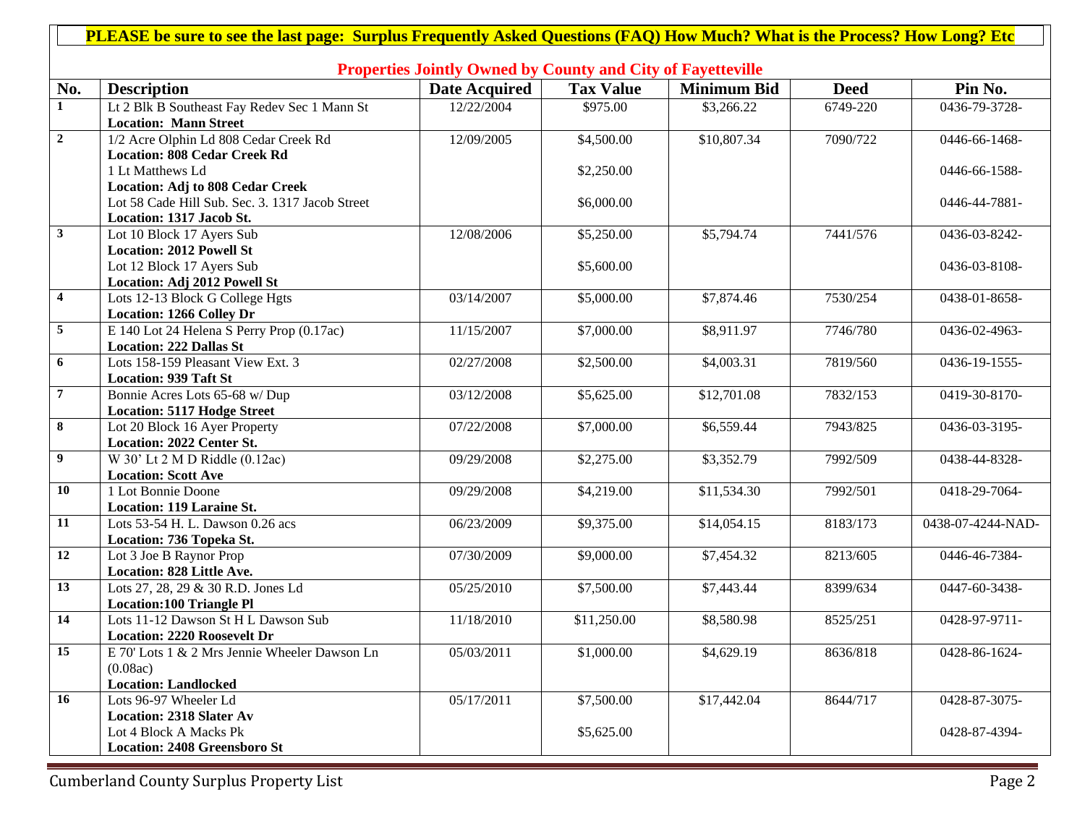|                  | PLEASE be sure to see the last page: Surplus Frequently Asked Questions (FAQ) How Much? What is the Process? How Long? Etc |                      |                  |                    |             |                   |  |  |  |
|------------------|----------------------------------------------------------------------------------------------------------------------------|----------------------|------------------|--------------------|-------------|-------------------|--|--|--|
|                  |                                                                                                                            |                      |                  |                    |             |                   |  |  |  |
|                  | <b>Properties Jointly Owned by County and City of Fayetteville</b>                                                         |                      |                  |                    |             |                   |  |  |  |
| No.              | <b>Description</b>                                                                                                         | <b>Date Acquired</b> | <b>Tax Value</b> | <b>Minimum Bid</b> | <b>Deed</b> | Pin No.           |  |  |  |
| $\mathbf{1}$     | Lt 2 Blk B Southeast Fay Redev Sec 1 Mann St                                                                               | 12/22/2004           | \$975.00         | \$3,266.22         | 6749-220    | 0436-79-3728-     |  |  |  |
|                  | <b>Location: Mann Street</b>                                                                                               |                      |                  |                    |             |                   |  |  |  |
| $\overline{2}$   | 1/2 Acre Olphin Ld 808 Cedar Creek Rd                                                                                      | 12/09/2005           | \$4,500.00       | \$10,807.34        | 7090/722    | 0446-66-1468-     |  |  |  |
|                  | <b>Location: 808 Cedar Creek Rd</b>                                                                                        |                      |                  |                    |             |                   |  |  |  |
|                  | 1 Lt Matthews Ld                                                                                                           |                      | \$2,250.00       |                    |             | 0446-66-1588-     |  |  |  |
|                  | <b>Location: Adj to 808 Cedar Creek</b><br>Lot 58 Cade Hill Sub. Sec. 3. 1317 Jacob Street                                 |                      |                  |                    |             |                   |  |  |  |
|                  | Location: 1317 Jacob St.                                                                                                   |                      | \$6,000.00       |                    |             | 0446-44-7881-     |  |  |  |
| $\mathbf{3}$     | Lot 10 Block 17 Ayers Sub                                                                                                  | 12/08/2006           | \$5,250.00       | \$5,794.74         | 7441/576    | 0436-03-8242-     |  |  |  |
|                  | <b>Location: 2012 Powell St</b>                                                                                            |                      |                  |                    |             |                   |  |  |  |
|                  | Lot 12 Block 17 Ayers Sub                                                                                                  |                      | \$5,600.00       |                    |             | 0436-03-8108-     |  |  |  |
|                  | Location: Adj 2012 Powell St                                                                                               |                      |                  |                    |             |                   |  |  |  |
| $\boldsymbol{4}$ | Lots 12-13 Block G College Hgts                                                                                            | 03/14/2007           | \$5,000.00       | \$7,874.46         | 7530/254    | 0438-01-8658-     |  |  |  |
|                  | <b>Location: 1266 Colley Dr</b>                                                                                            |                      |                  |                    |             |                   |  |  |  |
| $\overline{5}$   | E 140 Lot 24 Helena S Perry Prop (0.17ac)                                                                                  | 11/15/2007           | \$7,000.00       | \$8,911.97         | 7746/780    | 0436-02-4963-     |  |  |  |
|                  | <b>Location: 222 Dallas St</b>                                                                                             |                      |                  |                    |             |                   |  |  |  |
| 6                | Lots 158-159 Pleasant View Ext. 3                                                                                          | 02/27/2008           | \$2,500.00       | \$4,003.31         | 7819/560    | 0436-19-1555-     |  |  |  |
|                  | <b>Location: 939 Taft St</b>                                                                                               |                      |                  |                    |             |                   |  |  |  |
| $7\overline{ }$  | Bonnie Acres Lots 65-68 w/ Dup                                                                                             | 03/12/2008           | \$5,625.00       | \$12,701.08        | 7832/153    | 0419-30-8170-     |  |  |  |
|                  | <b>Location: 5117 Hodge Street</b>                                                                                         |                      |                  |                    |             |                   |  |  |  |
| 8                | Lot 20 Block 16 Ayer Property                                                                                              | 07/22/2008           | \$7,000.00       | \$6,559.44         | 7943/825    | 0436-03-3195-     |  |  |  |
|                  | Location: 2022 Center St.                                                                                                  |                      |                  |                    |             |                   |  |  |  |
| 9 <sup>°</sup>   | $\overline{W}$ 30' Lt 2 M D Riddle (0.12ac)                                                                                | 09/29/2008           | \$2,275.00       | \$3,352.79         | 7992/509    | 0438-44-8328-     |  |  |  |
|                  | <b>Location: Scott Ave</b>                                                                                                 |                      |                  |                    |             |                   |  |  |  |
| 10               | 1 Lot Bonnie Doone                                                                                                         | 09/29/2008           | \$4,219.00       | \$11,534.30        | 7992/501    | 0418-29-7064-     |  |  |  |
|                  | <b>Location: 119 Laraine St.</b>                                                                                           |                      |                  |                    |             |                   |  |  |  |
| 11               | Lots 53-54 H. L. Dawson 0.26 acs                                                                                           | 06/23/2009           | \$9,375.00       | \$14,054.15        | 8183/173    | 0438-07-4244-NAD- |  |  |  |
|                  | Location: 736 Topeka St.                                                                                                   |                      |                  |                    |             |                   |  |  |  |
| 12               | Lot 3 Joe B Raynor Prop                                                                                                    | 07/30/2009           | \$9,000.00       | \$7,454.32         | 8213/605    | 0446-46-7384-     |  |  |  |
|                  | Location: 828 Little Ave.                                                                                                  |                      |                  |                    |             |                   |  |  |  |
| 13               | Lots 27, 28, 29 & 30 R.D. Jones Ld                                                                                         | 05/25/2010           | \$7,500.00       | \$7,443.44         | 8399/634    | 0447-60-3438-     |  |  |  |
|                  | <b>Location:100 Triangle Pl</b>                                                                                            |                      |                  |                    |             |                   |  |  |  |
| 14               | Lots 11-12 Dawson St H L Dawson Sub<br><b>Location: 2220 Roosevelt Dr</b>                                                  | 11/18/2010           | \$11,250.00      | \$8,580.98         | 8525/251    | 0428-97-9711-     |  |  |  |
| 15               |                                                                                                                            |                      |                  |                    |             |                   |  |  |  |
|                  | E 70' Lots 1 & 2 Mrs Jennie Wheeler Dawson Ln<br>(0.08ac)                                                                  | 05/03/2011           | \$1,000.00       | \$4,629.19         | 8636/818    | 0428-86-1624-     |  |  |  |
|                  | <b>Location: Landlocked</b>                                                                                                |                      |                  |                    |             |                   |  |  |  |
| 16               | Lots 96-97 Wheeler Ld                                                                                                      | 05/17/2011           | \$7,500.00       | \$17,442.04        | 8644/717    | 0428-87-3075-     |  |  |  |
|                  | <b>Location: 2318 Slater Av</b>                                                                                            |                      |                  |                    |             |                   |  |  |  |
|                  | Lot 4 Block A Macks Pk                                                                                                     |                      | \$5,625.00       |                    |             | 0428-87-4394-     |  |  |  |
|                  | <b>Location: 2408 Greensboro St</b>                                                                                        |                      |                  |                    |             |                   |  |  |  |
|                  |                                                                                                                            |                      |                  |                    |             |                   |  |  |  |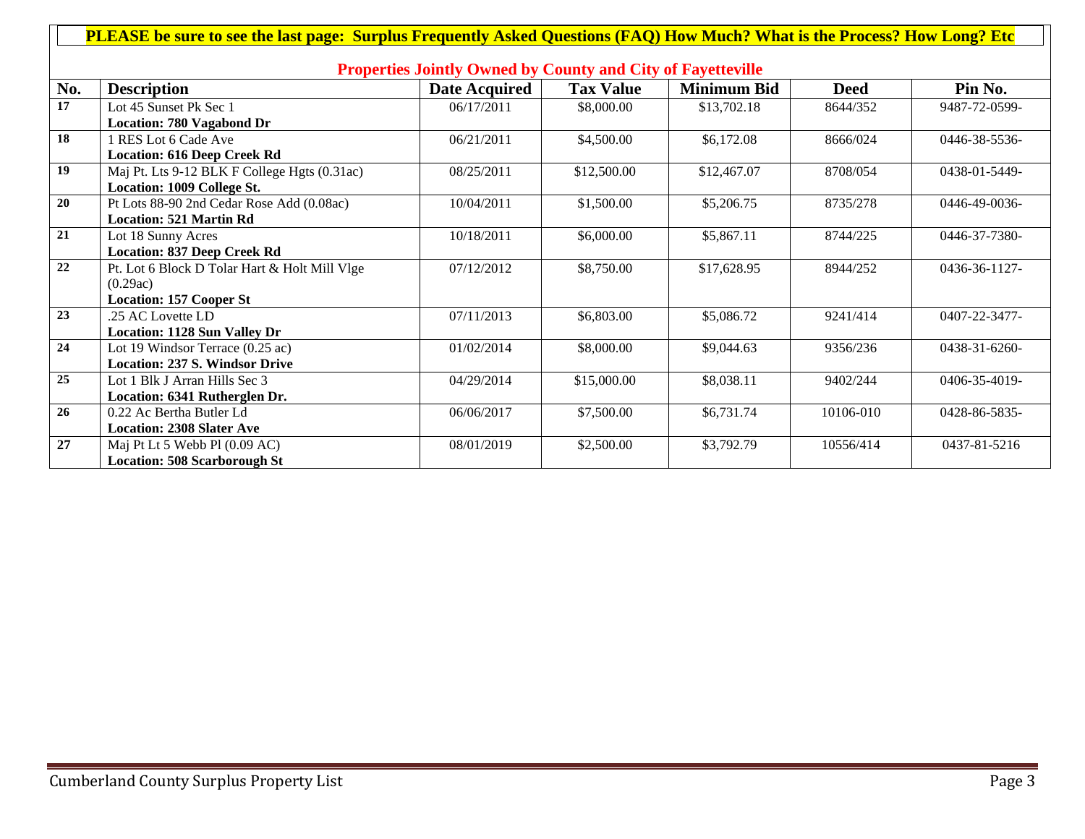| PLEASE be sure to see the last page: Surplus Frequently Asked Questions (FAQ) How Much? What is the Process? How Long? Etc |                                               |                      |                  |                    |             |                      |  |
|----------------------------------------------------------------------------------------------------------------------------|-----------------------------------------------|----------------------|------------------|--------------------|-------------|----------------------|--|
|                                                                                                                            |                                               |                      |                  |                    |             |                      |  |
| <b>Properties Jointly Owned by County and City of Fayetteville</b>                                                         |                                               |                      |                  |                    |             |                      |  |
| No.                                                                                                                        | <b>Description</b>                            | <b>Date Acquired</b> | <b>Tax Value</b> | <b>Minimum Bid</b> | <b>Deed</b> | Pin No.              |  |
| $\overline{17}$                                                                                                            | Lot 45 Sunset Pk Sec 1                        | 06/17/2011           | \$8,000.00       | \$13,702.18        | 8644/352    | 9487-72-0599-        |  |
|                                                                                                                            | <b>Location: 780 Vagabond Dr</b>              |                      |                  |                    |             |                      |  |
| $\overline{18}$                                                                                                            | 1 RES Lot 6 Cade Ave                          | 06/21/2011           | \$4,500.00       | \$6,172.08         | 8666/024    | 0446-38-5536-        |  |
|                                                                                                                            | <b>Location: 616 Deep Creek Rd</b>            |                      |                  |                    |             |                      |  |
| 19                                                                                                                         | Maj Pt. Lts 9-12 BLK F College Hgts (0.31ac)  | 08/25/2011           | \$12,500.00      | \$12,467.07        | 8708/054    | 0438-01-5449-        |  |
|                                                                                                                            | <b>Location: 1009 College St.</b>             |                      |                  |                    |             |                      |  |
| 20                                                                                                                         | Pt Lots 88-90 2nd Cedar Rose Add (0.08ac)     | 10/04/2011           | \$1,500.00       | \$5,206.75         | 8735/278    | $0446 - 49 - 0036 -$ |  |
|                                                                                                                            | <b>Location: 521 Martin Rd</b>                |                      |                  |                    |             |                      |  |
| 21                                                                                                                         | Lot 18 Sunny Acres                            | 10/18/2011           | \$6,000.00       | \$5,867.11         | 8744/225    | 0446-37-7380-        |  |
|                                                                                                                            | <b>Location: 837 Deep Creek Rd</b>            |                      |                  |                    |             |                      |  |
| 22                                                                                                                         | Pt. Lot 6 Block D Tolar Hart & Holt Mill Vlge | 07/12/2012           | \$8,750.00       | \$17,628.95        | 8944/252    | 0436-36-1127-        |  |
|                                                                                                                            | (0.29ac)                                      |                      |                  |                    |             |                      |  |
|                                                                                                                            | <b>Location: 157 Cooper St</b>                |                      |                  |                    |             |                      |  |
| 23                                                                                                                         | .25 AC Lovette LD                             | 07/11/2013           | \$6,803.00       | \$5,086.72         | 9241/414    | 0407-22-3477-        |  |
|                                                                                                                            | <b>Location: 1128 Sun Valley Dr</b>           |                      |                  |                    |             |                      |  |
| 24                                                                                                                         | Lot 19 Windsor Terrace (0.25 ac)              | 01/02/2014           | \$8,000.00       | \$9,044.63         | 9356/236    | 0438-31-6260-        |  |
|                                                                                                                            | <b>Location: 237 S. Windsor Drive</b>         |                      |                  |                    |             |                      |  |
| 25                                                                                                                         | Lot 1 Blk J Arran Hills Sec 3                 | 04/29/2014           | \$15,000.00      | \$8,038.11         | 9402/244    | $0406 - 35 - 4019 -$ |  |
|                                                                                                                            | Location: 6341 Rutherglen Dr.                 |                      |                  |                    |             |                      |  |
| 26                                                                                                                         | 0.22 Ac Bertha Butler Ld                      | 06/06/2017           | \$7,500.00       | \$6,731.74         | 10106-010   | 0428-86-5835-        |  |
|                                                                                                                            | <b>Location: 2308 Slater Ave</b>              |                      |                  |                    |             |                      |  |
| 27                                                                                                                         | Maj Pt Lt 5 Webb Pl (0.09 AC)                 | 08/01/2019           | \$2,500.00       | \$3,792.79         | 10556/414   | 0437-81-5216         |  |
|                                                                                                                            | <b>Location: 508 Scarborough St</b>           |                      |                  |                    |             |                      |  |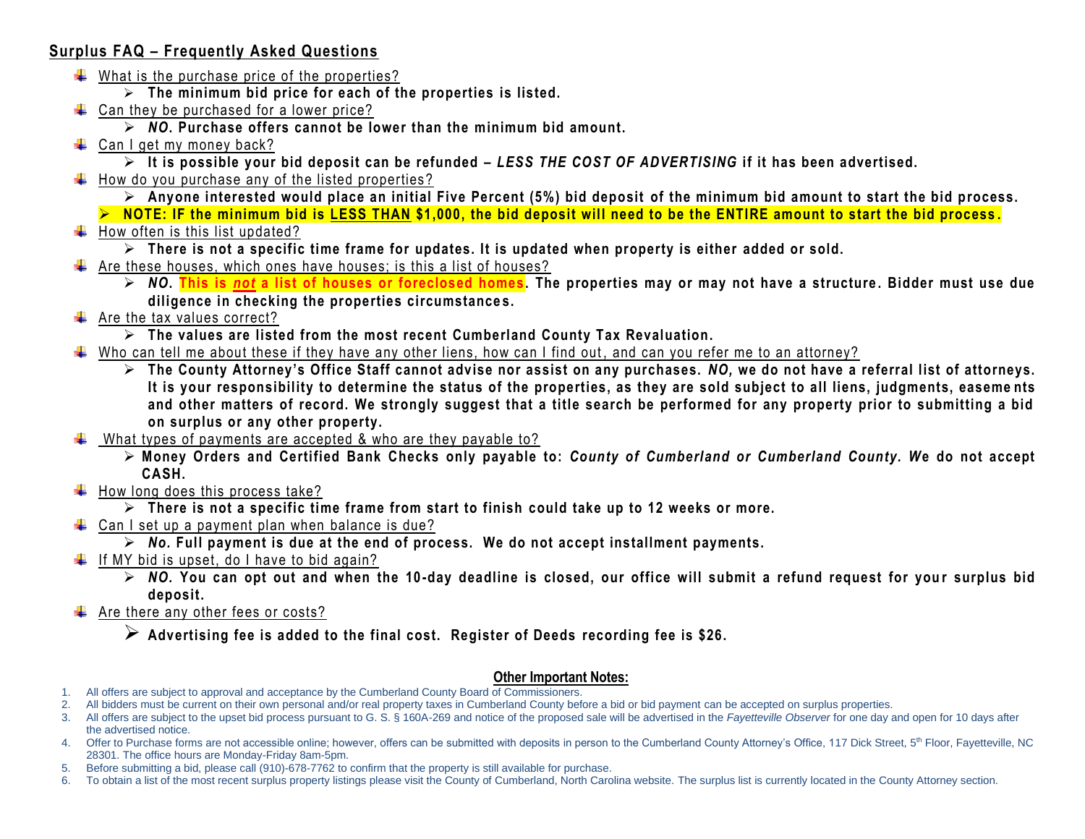## **Surplus FAQ – Frequently Asked Questions**

- $\downarrow$  What is the purchase price of the properties?
	- ➢ **The minimum bid price for each of the properties is listed.**
- $\downarrow$  Can they be purchased for a lower price?
	- ➢ *NO***. Purchase offers cannot be lower than the minimum bid amount.**
- $\leftarrow$  Can I get my money back?
	- ➢ **It is possible your bid deposit can be refunded –** *LESS THE COST OF ADVERTISING* **if it has been advertised.**
- $\frac{1}{\sqrt{2}}$  How do you purchase any of the listed properties?
	- ➢ **Anyone interested would place an initial Five Percent (5%) bid deposit of the minimum bid amount to start the bid process.**
	- ➢ **NOTE: IF the minimum bid is LESS THAN \$1,000, the bid deposit will need to be the ENTIRE amount to start the bid process .**

## $\ddot{\bullet}$  How often is this list updated?

- ➢ **There is not a specific time frame for updates. It is updated when property is either added or sold.**
- $\ddot$  Are these houses, which ones have houses; is this a list of houses?
	- ➢ *NO***. This is** *not* **a list of houses or foreclosed homes . The properties may or may not have a structure . Bidder must use due diligence in checking the properties circumstance s.**
- $\leftarrow$  Are the tax values correct?
	- ➢ **The values are listed from the most recent Cumberland County Tax Revaluation.**
- Who can tell me about these if they have any other liens, how can I find out, and can you refer me to an attorney?
	- ➢ **The County Attorney's Office Staff cannot advise nor assist on any purchases.** *NO,* **we do not have a referral list of attorneys. It is your responsibility to determine the status of the properties, as they are sold subject to all liens, judgments, easeme nts and other matters of record. We strongly suggest that a title search be performed for any property prior to submitting a bid on surplus or any other property.**
- What types of payments are accepted & who are they payable to?
	- ➢ **Money Orders and Certified Bank Checks only payable to:** *County of Cumberland or Cumberland County. W***e do not accept CASH.**
- $\ddot{\bullet}$  How long does this process take?
	- ➢ **There is not a specific time frame from start to finish could take up to 12 weeks or more.**
- $\downarrow$  Can I set up a payment plan when balance is due?
	- ➢ *No.* **Full payment is due at the end of process. We do not accept installment payments.**
- $\downarrow$  If MY bid is upset, do I have to bid again?
	- ➢ *NO.* **You can opt out and when the 10 -day deadline is closed, our office will submit a refund request for you r surplus bid deposit.**
- $\leftarrow$  Are there any other fees or costs?
	- ➢ **Advertising fee is added to the final cost. Register of Deeds recording fee is \$26.**

## **Other Important Notes:**

- 1. All offers are subject to approval and acceptance by the Cumberland County Board of Commissioners.
- 2. All bidders must be current on their own personal and/or real property taxes in Cumberland County before a bid or bid payment can be accepted on surplus properties.
- 3. All offers are subject to the upset bid process pursuant to G. S. § 160A-269 and notice of the proposed sale will be advertised in the *Fayetteville Observer* for one day and open for 10 days after the advertised notice.
- 4. Offer to Purchase forms are not accessible online; however, offers can be submitted with deposits in person to the Cumberland County Attorney's Office, 117 Dick Street, 5<sup>th</sup> Floor, Fayetteville, NC 28301. The office hours are Monday-Friday 8am-5pm.
- 5. Before submitting a bid, please call (910)-678-7762 to confirm that the property is still available for purchase.
- 6. To obtain a list of the most recent surplus property listings please visit the County of Cumberland, North Carolina website. The surplus list is currently located in the County Attorney section.